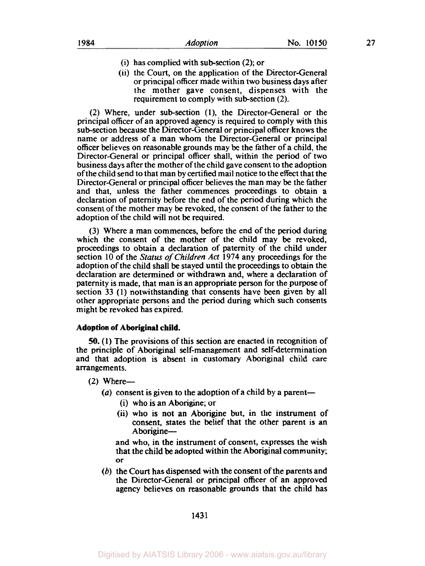- (i) has complied with sub-section (2); or
- (ii) the Court, on the application of the Director-General or principal officer made within two business days after the mother gave consent, dispenses with the requirement to comply with sub-section (2).

(2) Where, under subsection **(l),** the Director-General or the principal officer of an approved agency is required to comply with this sub-section because the Director-General or principal officer knows the name or address of a man whom the Director-General or principal officer believes on reasonable grounds may be the father of a child, the Director-General or principal officer shall, within the period of two business days after the mother of the child gave consent to the adoption of the child send to that man by certified mail notice to the effect that the Director-General or principal officer believes the man may be the father and that, unless the father commences proceedings to obtain a declaration of paternity before the end of the period during which the consent of the mother may be revoked, the consent of the father to the adoption of the child will not be required.

**(3)** Where a man commences, before the end of the period during which the consent of the mother of the child may be revoked, proceedings to obtain a declaration of paternity of the child under section 10 of the *Status of Children Act* **1974** any proceedings for the adoption of the child shall be stayed until the proceedings to obtain the declaration are determined or withdrawn and, where a declaration of paternity is made, that man is an appropriate person for the purpose of section 33 (1) notwithstanding that consents have been given by all other appropriate persons and the period during which such consents might be revoked has expired.

#### **Adoption of Aboriginal child.**

*50.* **(1)** The provisions of this section are enacted in recognition of the principle of Aboriginal self-management and self-determination and that adoption is absent in customary Aboriginal child care arrangements.

 $(2)$  Where--

- $(a)$  consent is given to the adoption of a child by a parent-
	- (i) who is an Aborigine; or
	- (ii) who is not an Aborigine but, in the instrument of consent, states the belief that the other parent is an Aborigine-

and who, in the instrument of consent, expresses the wish that the child be adopted within the Aboriginal community; or

*(b)* the Court has dispensed with the consent of the parents and the Director-General or principal officer of an approved agency believes on reasonable grounds that the child has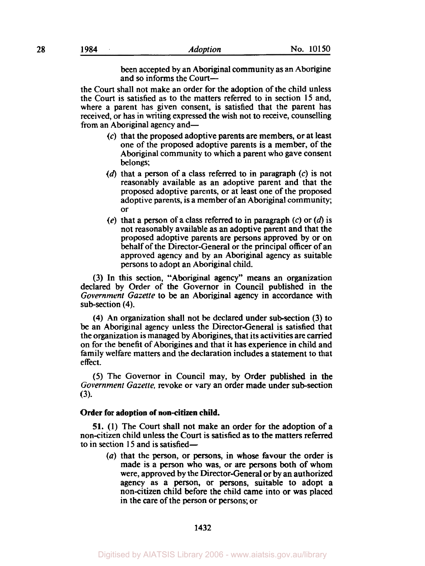been accepted by an Aboriginal community as an Aborigine and **so** informs the Court-

the Court shall not make an order for the adoption of the child unless the Court is satisfied as to the matters referred to in section 15 and, where a parent has given consent, is satisfied that the parent has received, or has in writing expressed the wish not to receive, counselling from an Aboriginal agency and—

- (c) that the proposed adoptive parents are members, or at least one of the proposed adoptive parents is a member, of the Aboriginal community to which a parent who gave consent belongs;
- **(d)** that a person of a class referred to in paragraph (c) is not reasonably available as an adoptive parent and that the proposed adoptive parents, or at least one of the proposed adoptive parents, is a member of an Aboriginal community; or
- $(e)$  that a person of a class referred to in paragraph  $(c)$  or  $(d)$  is not reasonably available as an adoptive parent and that the proposed adoptive parents are persons approved by or on behalf of the Director-General or the principal officer of an approved agency and by an Aboriginal agency as suitable persons to adopt an Aboriginal child.

(3) In this section, "Aboriginal agency" means an organization declared by Order of the Governor in Council published in the *Government Gazette* to be an Aboriginal agency in accordance with sub-section (4).

**(4)** An organization shall not be declared under subsection (3) to be an Aboriginal agency unless the Director-General is satisfied that the organization is managed by Aborigines, that its activities are carried on for the benefit of Aborigines and that it has experience in child and family welfare matters and the declaration includes a statement to that effect.

*(5)* The Governor in Council may, by Order published in the Government Gazette, revoke or vary an order made under sub-section **(3).** 

## **Order for adoption of non-citizen child.**

**51. (1)** The Court shall not make an order for the adoption of a non-citizen child unless the Court is satisfied as to the matters referred to in section **15** and is satisfied-

> *(a)* that the person, or persons, in whose favour the order is made is a person who was, or **are** persons both of whom were, approved by the Director-General or by an authorized agency as a person, or persons, suitable to adopt a non-citizen child before the child came into or was placed in the care of the person or persons; or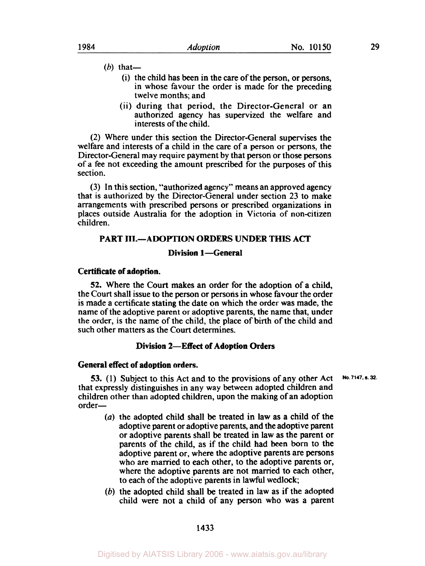- (b) that-
	- (i) the child has been in the care of the person, or persons, in whose favour the order is made for the preceding twelve months; and
	- (ii) during that period, the Director-General or an authorized agency has supervized the welfare and interests of the child.

(2) Where under this section the Director-General supervises the welfare and interests of a child in the care of a person or persons, the Director-General may require payment by that person or those persons of a fee not exceeding the amount prescribed for the purposes of this section.

(3) In this section, "authorized agency" means an approved agency that is authorized by the Director-General under section 23 to make arrangements with prescribed persons or prescribed organizations in places outside Australia for the adoption in Victoria of non-citizen children.

# **PART III.-ADOPTION ORDERS UNDER THIS ACT**

# **Division 1-General**

## **Certificate of adoption.**

**52.** Where the Court makes an order for the adoption of a child, the Court shall issue to the person or persons in whose favour the order is made a certificate stating the date on which the order was made, the name of the adoptive parent or adoptive parents, the name that, under the order, is the name of the child, the place of birth of the child and such other matters as the Court determines.

# **Division 2-Effect of Adoption Orders**

#### **General effect of adoption orders.**

**53.** (1) Subject to this Act and to the provisions of any other Act that expressly distinguishes in any way between adopted children and children other than adopted children, upon the making of an adoption order-**No. 7147. s. 32.** 

- *(a)* the adopted child shall be treated in law as a child of the adoptive parent or adoptive parents, and the adoptive parent or adoptive parents shall be treated in law as the parent or parents of the child, as if the child had been **born** to the adoptive parent or, where the adoptive parents are persons who are married to each other, to the adoptive parents or, where the adoptive parents are not married to each other, to each of the adoptive parents in lawful wedlock;
- *(6)* the adopted child shall be treated in law as if the adopted child were not a child of any person who was a parent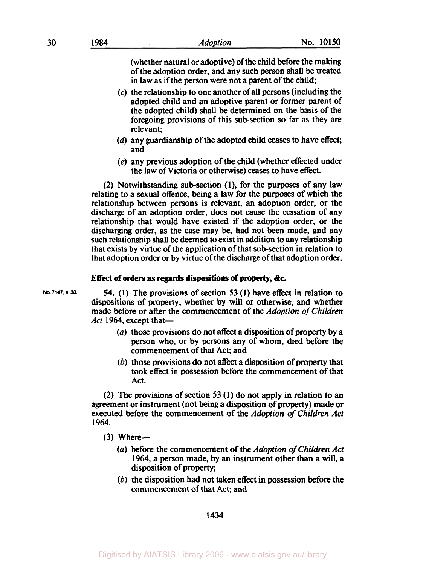(whether natural or adoptive) of the child before the making of the adoption order, and any such person shall be treated in law as if the person were not a parent of the child;

- **(c)** the relationship to one another of all persons (including the adopted child and an adoptive parent or former parent of the adopted child) shall be determined on the basis of the foregoing provisions of this subsection *so* far as they are relevant;
- **(d)** any guardianship of the adopted child **ceases** to have effect; and
- *(e)* any previous adoption of the child (whether effected under the law of Victoria or otherwise) ceases to have effect.

(2) Notwithstanding subsection **(1),** for the purposes of any law relating to a sexual offence, being a law for the purposes of which the relationship between persons is relevant, **an** adoption order, or the discharge of an adoption order, does not cause the cessation of any relationship that would have existed if the adoption order, or the discharging order, as the *case* may be, had not been made, and any such relationship shall be deemed to exist in addition to any relationship that exists by virtue of the application of that sub-section in relation to that adoption order or by virtue of the discharge of that adoption order.

## **Effect of orders as regards dispositions of property, &c.**

**No. 7147. S. 33.** 

*54.* **(1)** The provisions of section **53 (1)** have effect in relation to dispositions of property, whether by will or otherwise, and whether made before or after the commencement of the *Adoption of Children Act* 1964, except that-

- *(a)* those provisions do not affect a disposition of property by a person who, or by persons any of whom, died before the commencement of that Act; and
- (b) those provisions do not affect a disposition of property that took effect in possession before the commencement of that Act.

(2) The provisions of section **53 (1)** do not apply in relation to an agreement or instrument (not being a disposition of property) made or executed before the Commencement of the *Adoption* of *Children Act*  **1964.** 

- $(3)$  Where--
	- *(a)* before the commencement of the *Adoption* of *Children Act*  **1964,** a person made, **by** an instrument other than a will, a disposition of property;
	- (b) the disposition had not taken effect in possession before the commencement of that Act; and

**1434**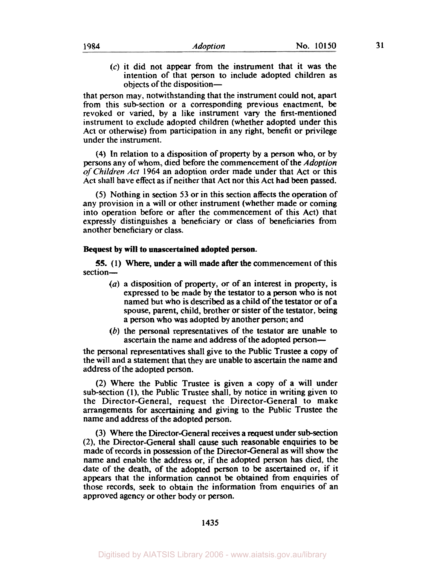**(c)** it did not appear from the instrument that it was the intention of that person to include adopted children as objects of the disposition-

that person may, notwithstanding that the instrument could not, apart from this subsection or a corresponding previous enactment, be revoked or varied, by a like instrument vary the first-mentioned instrument to exclude adopted children (whether adopted under this Act or otherwise) from participation in any right, benefit or privilege under the instrument.

(4) In relation to a disposition of property by a person who, or by persons any of whom, died before the commencement of the Adoption *of* Children Act 1964 an adoption order made under that Act or this Act shall have effect as if neither that Act nor this Act had been passed.

**(5)** Nothing in section **53** or in this section affects the operation of any provision in a will or other instrument (whether made or coming into operation before or after the commencement of this Act) that expressly distinguishes a beneficiary or class of beneficiaries from another beneficiary or class.

#### **Bequest by will to unascertained adopted person.**

section-**55.** (1) Where, under a will made after the commencement of this

- (a) a disposition of property, or of an interest in property, is expressed to be made by the testator to a person who is not named but who is described as a child of the testator or of **a**  spouse, parent, child, brother or sister of the testator, being a person who was adopted by another person; and
- (b) the personal representatives of the testator are unable to ascertain the name and address of the adopted person-

the personal representatives shall give to the Public Trustee **a** copy of the will and a statement that they are unable to ascertain the name and address of the adopted person.

(2) Where the Public Trustee is given a copy of a will under sub-section (l), the Public Trustee shall, by notice in writing given to the Director-General, request the Director-General to make arrangements for ascertaining and giving to the Public Trustee the name and address of the adopted person.

**(3)** Where the Director-General receives a request under sub-section (2), the Director-General shall cause such reasonable enquiries to be made of records in possession of the Director-General as will show the name and enable the address or, if the adopted person has died, the date of the death, of the adopted person to be ascertained or, if it appears that the information cannot be obtained from enquiries of those records, **seek** to obtain the information from enquiries of an approved agency or other body or person.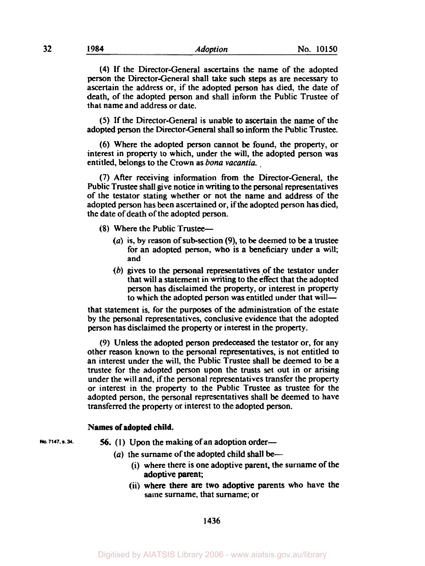(4) If the Director-General ascertains the name of the adopted person the Director-General shall take such steps as are necessary to ascertain the address or, if the adopted person has died, the date of death, of the adopted person and shall inform the Public Trustee of that name and address or date.

*(5)* If the Director-General is unable to ascertain the name of the adopted person the Director-General shall *so* inform the Public Trustee.

(6) Where the adopted person cannot **be** found, the property, or interest in property to which, under the will, the adopted person was entitled, belongs to the Crown as *bona vacantia.* 

**(7)** After receiving information from the Director-General, the Public Trustee shall give notice in writing to the personal representatives of the testator stating whether or not the name and address of the adopted person has been ascertained or, if the adopted person has died, the date of death of the adopted person.

(8) Where the Public Trustee-

- *(a)* is, by reason of subsection **(9),** to **be** deemed to **be** a trustee for an adopted person, who is **a** beneficiary under a will; and
- *(b)* gives to the personal representatives of the testator under that will a statement in writing to the effect that the adopted person has disclaimed the property, or interest in property to which the adopted person was entitled under that will-

that statement is, for the purposes of the administration of the estate by the personal representatives, conclusive evidence that the adopted person has disclaimed the property or interest in the property.

(9) Unless the adopted person predeceased the testator or, for any other reason **known** to the personal representatives, is not entitled to an interest under the will, the Public Trustee shall **be** deemed to be a trustee for the adopted person upon the trusts set out in or arising under the will and, if the personal representatives transfer the property or interest in the property to the Public Trustee as trustee for the adopted person, the personal representatives shall **be** deemed to have transferred the property or interest to the adopted person.

#### **Names of adopted child.**

- **No. 7147, a. 34.** *56.* (1) Upon the making of an adoption order-
	- (a) the surname of the adopted child shall be-
		- (i) where there is one adoptive parent, the surname of the adoptive parent;
		- (ii) where there are two adoptive parents who have the same surname, that surname; or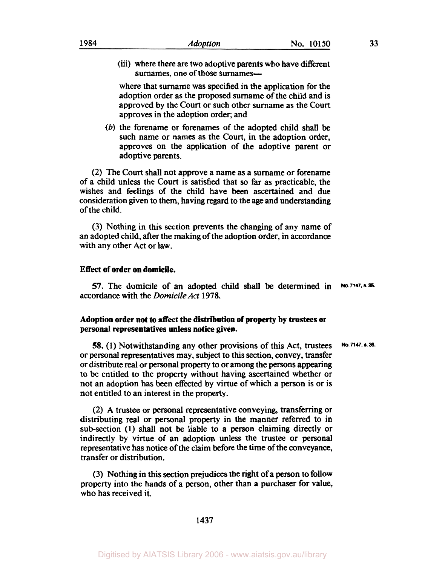(iii) where there **are** two adoptive parents who have different surnames, one of those surnames-

where that surname was specified in the application for the adoption order as the proposed surname of the child and is approved by the Court or such other surname as the Court approves in the adoption order; and

(b) the forename or forenames of the adopted child shall be such name or names as the Court, in the adoption order, approves on the application of the adoptive parent or adoptive parents.

(2) The Court shall not approve a name as a surname or forename of a child unless the Court is satisfied that **so** far as practicable, the wishes and feelings of the child have been ascertained and due consideration given to them, having regard to the age and understanding of the child.

**(3)** Nothing in this section prevents the changing of any name of an adopted child, after the making of the adoption order, in accordance with any other Act or law.

#### **Effect of order on domicile.**

**57.** The domicile of an adopted child shall be determined in **No. 7147. s. 35.**  accordance with the *Domicile Act* **1978.** 

### **Adoption order not to** *affect* **the distribution of property by trustees or personal representatives unless notice given.**

**58. (1)** Notwithstanding any other provisions of this Act, trustees or personal representatives may, subject to this section, convey, transfer or distribute real or personal property to or among the persons appearing to be entitled to the property without having ascertained whether or not an adoption has been effected by virtue of which a person is or is not entitled to an interest in the property. **No. 7147. s. 38.** 

(2) A trustee or personal representative conveying, transferring or distributing real or personal property in the manner referred to in subsection **(1)** shall not be liable to a person claiming directly or indirectly by virtue of an adoption unless the trustee or personal representative has notice of the claim before the time of the conveyance, transfer or distribution.

(3) Nothing in this section prejudices the right of a person to follow property into the hands of a person, other than a purchaser for value, who has received it.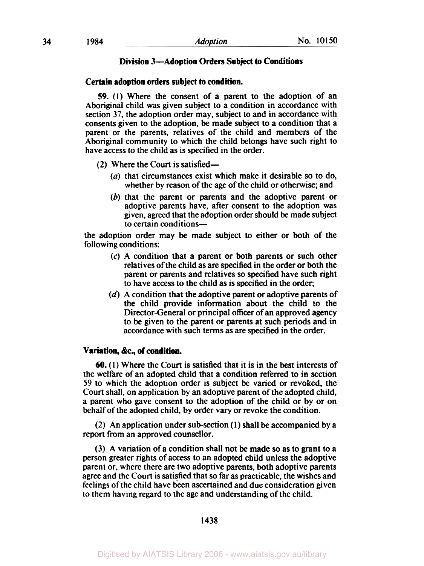## **Division 3 - Adoption Orders Subject to Conditions**

#### **Certain adoption orders subject to condition.**

*59.* **(1)** Where the consent of a parent to the adoption of an Aboriginal child was given subject to a condition in accordance with section **37,** the adoption order may, subject to and in accordance with consents given to the adoption, be made subject to a condition that a parent or the parents, relatives of the child and members of the Aboriginal community to which the child belongs have such right to have access to the child as is specified in the order.

- (2) Where the Court is satisfied-
	- (a) that circumstances exist which make it desirable **so** to do, whether by reason of the age of the child or otherwise; and
	- *(6)* that the parent or parents and the adoptive parent or adoptive parents have, after consent to the adoption was given, agreed that the adoption order should be made subject to certain conditions-

the adoption order may be made subject to either or both of the following conditions:

- *(c)* **A** condition that a parent or both parents or such other relatives of the child as are specified in the order or both the parent or parents and relatives **so** specified have such right to have access to the child as is specified in the order;
- (d) A condition that the adoptive parent or adoptive parents of the child provide information about the child to the Director-General or principal officer of an approved agency to **be** given to the parent or parents at such periods and in accordance with such terms as are specified in the order.

#### **Variation, &c., of condition.**

**60. (1)** Where the Court is satisfied that it is in the best interests of the welfare of an adopted child that a condition referred to in section 59 to which the adoption order is subject be varied or revoked, the Court shall, on application by an adoptive parent of the adopted child, a parent who gave consent to the adoption of the child or by or on behalf of the adopted child, by order vary or revoke the condition.

(2) An application under subsection **(1)** shall be accompanied by a report from an approved counsellor.

**(3)** A variation of a condition shall not be made **so** as to grant to a person greater rights of access to an adopted child unless the adoptive parent or, where there are two adoptive parents, both adoptive parents agree and the Court is satisfied that **so** far as practicable, the wishes and feelings of the child have been ascertained and due consideration given to them having regard to the age and understanding of the child.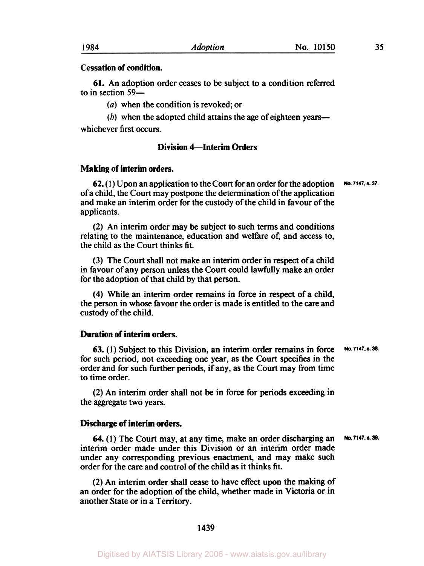## **Cessation of condition.**

to in section 59– **61.** An adoption order ceases to be subject to a condition referred

*(a)* when the condition is revoked; or

 $(b)$  when the adopted child attains the age of eighteen years whichever first occurs.

# **Division 4-Interim Orders**

## **Making of interim orders.**

**62. (1)** Upon an application to the Court for an order for the adoption of **a** child, the Court may postpone the determination of the application and make an interim order for the custody of the child in favour of the applicants. **No. 7147.s .37.** 

(2) An interim order may be subject to such terms and conditions relating to the maintenance, education and welfare **of,** and access to, the child as the Court thinks fit.

(3) The Court shall not make an interim order in **respect** of a child in favour of any person unless the Court could lawfully make an order for the adoption of that child by that person.

**(4)** While an interim order remains in force in respect of a child, the person in whose favour the order is made is entitled to the care and custody of the child.

# **Duration of interim orders.**

**63. (1)** Subject to this Division, an interim order remains in force **No. 7147. s.38.**  for such period, not exceeding one year, as the Court specifies in the order and for such further periods, if any, as the Court may from time to time order.

(2) An interim order shall not be in force for periods exceeding in the aggregate two years.

# **Discharge of interim orders.**

**64. (1)** The Court may, at any time, make an order discharging an interim order made under this Division or an interim order made under any corresponding previous enactment, and may make such order for the care and control of the child as it thinks fit. **No. 7147. s.39.** 

(2) **An** interim order shall *cease* to have **effect** upon the making of an order for the adoption of the child, whether made in Victoria or in another State or in a Territory.